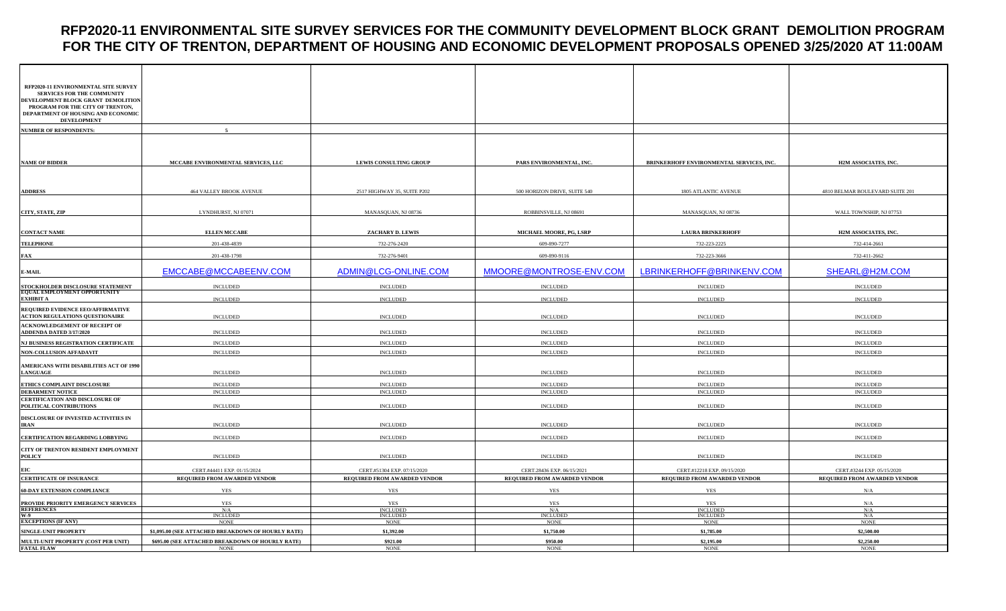## **RFP2020-11 ENVIRONMENTAL SITE SURVEY SERVICES FOR THE COMMUNITY DEVELOPMENT BLOCK GRANT DEMOLITION PROGRAM FOR THE CITY OF TRENTON, DEPARTMENT OF HOUSING AND ECONOMIC DEVELOPMENT PROPOSALS OPENED 3/25/2020 AT 11:00AM**

| RFP2020-11 ENVIRONMENTAL SITE SURVEY                                        |                                                                 |                                     |                                     |                                          |                                 |
|-----------------------------------------------------------------------------|-----------------------------------------------------------------|-------------------------------------|-------------------------------------|------------------------------------------|---------------------------------|
| <b>SERVICES FOR THE COMMUNITY</b><br>DEVELOPMENT BLOCK GRANT DEMOLITION     |                                                                 |                                     |                                     |                                          |                                 |
| PROGRAM FOR THE CITY OF TRENTON,<br>DEPARTMENT OF HOUSING AND ECONOMIC      |                                                                 |                                     |                                     |                                          |                                 |
| <b>DEVELOPMENT</b>                                                          |                                                                 |                                     |                                     |                                          |                                 |
| <b>NUMBER OF RESPONDENTS:</b>                                               | $\epsilon$                                                      |                                     |                                     |                                          |                                 |
|                                                                             |                                                                 |                                     |                                     |                                          |                                 |
| <b>NAME OF BIDDER</b>                                                       | MCCABE ENVIRONMENTAL SERVICES, LLC                              | <b>LEWIS CONSULTING GROUP</b>       | PARS ENVIRONMENTAL, INC.            | BRINKERHOFF ENVIRONMENTAL SERVICES, INC. | H2M ASSOCIATES, INC.            |
|                                                                             |                                                                 |                                     |                                     |                                          |                                 |
|                                                                             |                                                                 |                                     |                                     |                                          |                                 |
| <b>ADDRESS</b>                                                              | <b>464 VALLEY BROOK AVENUE</b>                                  | 2517 HIGHWAY 35, SUITE P202         | 500 HORIZON DRIVE, SUITE 540        | <b>1805 ATLANTIC AVENUE</b>              | 4810 BELMAR BOULEVARD SUITE 201 |
|                                                                             |                                                                 |                                     |                                     |                                          |                                 |
| CITY, STATE, ZIP                                                            | LYNDHURST, NJ 07071                                             | MANASQUAN, NJ 08736                 | ROBBINSVILLE, NJ 08691              | MANASQUAN, NJ 08736                      | WALL TOWNSHIP, NJ 07753         |
|                                                                             |                                                                 |                                     |                                     |                                          |                                 |
| <b>CONTACT NAME</b>                                                         | <b>ELLEN MCCABE</b>                                             | ZACHARY D. LEWIS                    | MICHAEL MOORE, PG, LSRP             | <b>LAURA BRINKERHOFF</b>                 | <b>H2M ASSOCIATES, INC.</b>     |
| <b>TELEPHONE</b>                                                            | 201-438-4839                                                    | 732-276-2420                        | 609-890-7277                        | 732-223-2225                             | 732-414-2661                    |
| <b>FAX</b>                                                                  | 201-438-1798                                                    | 732-276-9401                        | 609-890-9116                        | 732-223-3666                             | 732-411-2662                    |
| <b>E-MAIL</b>                                                               | EMCCABE@MCCABEENV.COM                                           | ADMIN@LCG-ONLINE.COM                | MMOORE@MONTROSE-ENV.COM             | LBRINKERHOFF@BRINKENV.COM                | SHEARL@H2M.COM                  |
| STOCKHOLDER DISCLOSURE STATEMENT<br>EQUAL EMPLOYMENT OPPORTUNITY            | <b>INCLUDED</b>                                                 | <b>INCLUDED</b>                     | <b>INCLUDED</b>                     | <b>INCLUDED</b>                          | <b>INCLUDED</b>                 |
| <b>EXHIBIT A</b>                                                            | <b>INCLUDED</b>                                                 | <b>INCLUDED</b>                     | <b>INCLUDED</b>                     | <b>INCLUDED</b>                          | <b>INCLUDED</b>                 |
| REQUIRED EVIDENCE EEO/AFFIRMATIVE<br><b>ACTION REGULATIONS QUESTIONAIRE</b> | <b>INCLUDED</b>                                                 | <b>INCLUDED</b>                     | <b>INCLUDED</b>                     | <b>INCLUDED</b>                          | <b>INCLUDED</b>                 |
| <b>ACKNOWLEDGEMENT OF RECEIPT OF</b><br><b>ADDENDA DATED 3/17/2020</b>      | <b>INCLUDED</b>                                                 | <b>INCLUDED</b>                     | <b>INCLUDED</b>                     | <b>INCLUDED</b>                          | <b>INCLUDED</b>                 |
| NJ BUSINESS REGISTRATION CERTIFICATE                                        | <b>INCLUDED</b>                                                 | <b>INCLUDED</b>                     | <b>INCLUDED</b>                     | <b>INCLUDED</b>                          | <b>INCLUDED</b>                 |
| NON-COLLUSION AFFADAVIT                                                     | <b>INCLUDED</b>                                                 | <b>INCLUDED</b>                     | <b>INCLUDED</b>                     | $\sf INCLUDED$                           | <b>INCLUDED</b>                 |
| AMERICANS WITH DISABILITIES ACT OF 1990                                     |                                                                 |                                     |                                     |                                          |                                 |
| <b>LANGUAGE</b>                                                             | <b>INCLUDED</b>                                                 | <b>INCLUDED</b>                     | <b>INCLUDED</b>                     | <b>INCLUDED</b>                          | <b>INCLUDED</b>                 |
| ETHICS COMPLAINT DISCLOSURE                                                 | <b>INCLUDED</b>                                                 | <b>INCLUDED</b>                     | <b>INCLUDED</b>                     | <b>INCLUDED</b>                          | <b>INCLUDED</b>                 |
| <b>DEBARMENT NOTICE</b>                                                     | <b>INCLUDED</b>                                                 | <b>INCLUDED</b>                     | <b>INCLUDED</b>                     | <b>INCLUDED</b>                          | <b>INCLUDED</b>                 |
| CERTIFICATION AND DISCLOSURE OF<br>POLITICAL CONTRIBUTIONS                  | <b>INCLUDED</b>                                                 | <b>INCLUDED</b>                     | <b>INCLUDED</b>                     | <b>INCLUDED</b>                          | <b>INCLUDED</b>                 |
| DISCLOSURE OF INVESTED ACTIVITIES IN                                        |                                                                 |                                     |                                     |                                          |                                 |
| <b>IRAN</b>                                                                 | <b>INCLUDED</b>                                                 | <b>INCLUDED</b>                     | <b>INCLUDED</b>                     | <b>INCLUDED</b>                          | <b>INCLUDED</b>                 |
| CERTIFICATION REGARDING LOBBYING                                            | <b>INCLUDED</b>                                                 | <b>INCLUDED</b>                     | <b>INCLUDED</b>                     | $\sf INCLUDED$                           | <b>INCLUDED</b>                 |
| CITY OF TRENTON RESIDENT EMPLOYMENT                                         |                                                                 |                                     |                                     |                                          |                                 |
| <b>POLICY</b>                                                               | <b>INCLUDED</b>                                                 | <b>INCLUDED</b>                     | <b>INCLUDED</b>                     | <b>INCLUDED</b>                          | <b>INCLUDED</b>                 |
| EIC                                                                         | CERT.#44411 EXP. 01/15/2024                                     | CERT.#51304 EXP. 07/15/2020         | CERT.28436 EXP. 06/15/2021          | CERT.#12218 EXP. 09/15/2020              | CERT.#3244 EXP. 05/15/2020      |
| <b>CERTIFICATE OF INSURANCE</b>                                             | REQUIRED FROM AWARDED VENDOR                                    | <b>REQUIRED FROM AWARDED VENDOR</b> | <b>REQUIRED FROM AWARDED VENDOR</b> | <b>REQUIRED FROM AWARDED VENDOR</b>      | REQUIRED FROM AWARDED VENDOR    |
| <b>60-DAY EXTENSION COMPLIANCE</b>                                          | YES                                                             | YES                                 | <b>YES</b>                          | YES                                      | N/A                             |
| PROVIDE PRIORITY EMERGENCY SERVICES<br>REFERENCES<br>W-9                    | <b>YES</b><br>N/A                                               | <b>YES</b><br><b>INCLUDED</b>       | <b>YES</b><br>N/A                   | <b>YES</b><br><b>INCLUDED</b>            | N/A<br>N/A                      |
|                                                                             | INCLUDED                                                        | <b>INCLUDED</b>                     | <b>INCLUDED</b>                     | <b>INCLUDED</b>                          | N/A                             |
| <b>EXCEPTIONS (IF ANY)</b>                                                  | <b>NONE</b>                                                     | <b>NONE</b>                         | <b>NONE</b>                         | <b>NONE</b>                              | <b>NONE</b>                     |
| SINGLE-UNIT PROPERTY                                                        | \$1,095.00 (SEE ATTACHED BREAKDOWN OF HOURLY RATE)              | \$1,392.00                          | \$1,750.00                          | \$1,785.00                               | \$2,500.00                      |
| MULTI-UNIT PROPERTY (COST PER UNIT)<br><b>FATAL FLAW</b>                    | \$695.00 (SEE ATTACHED BREAKDOWN OF HOURLY RATE)<br><b>NONE</b> | \$921.00<br><b>NONE</b>             | \$950.00<br><b>NONE</b>             | \$2,195.00<br><b>NONE</b>                | \$2,250.00<br><b>NONE</b>       |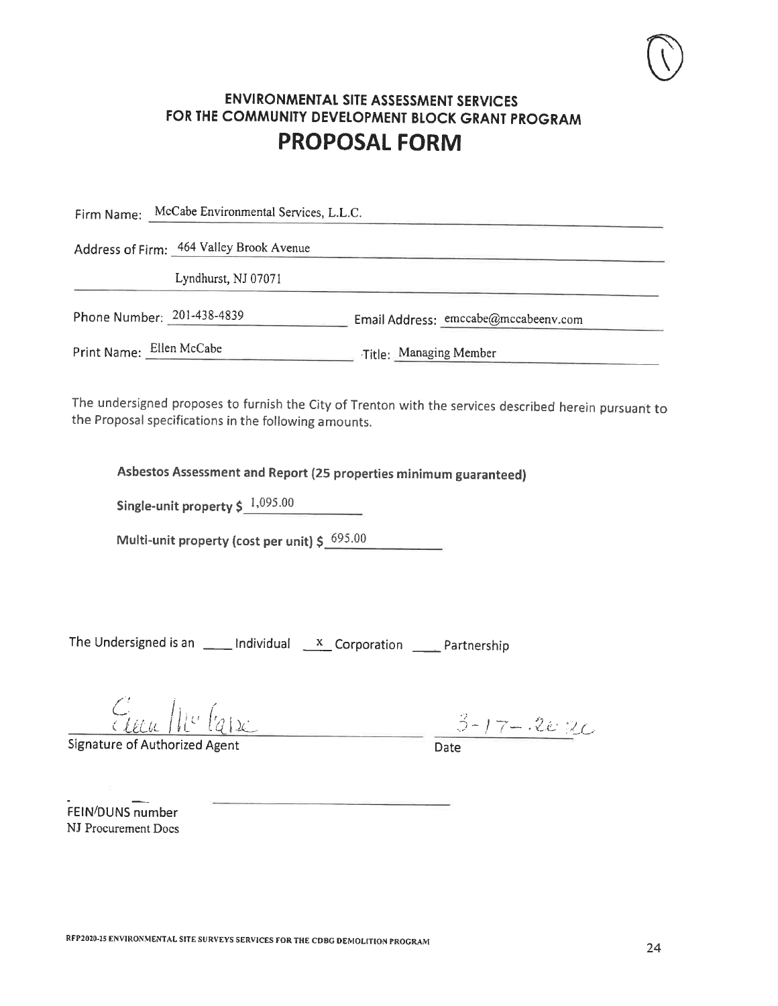Firm Name: McCabe Environmental Services, L.L.C.

Address of Firm: 464 Valley Brook Avenue

Lyndhurst, NJ 07071

Phone Number: 201-438-4839 Email Address: emccabe@mccabeenv.com

Print Name: Ellen McCabe Title: Managing Member

The undersigned proposes to furnish the City of Trenton with the services described herein pursuant to the Proposal specifications in the following amounts.

Asbestos Assessment and Report (25 properties minimum guaranteed)

Single-unit property  $\frac{1,095.00}{1,095.00}$ 

Multi-unit property (cost per unit)  $\zeta^{695.00}$ 

The Undersigned is an  $\frac{1}{\sqrt{1-x^2}}$  Individual  $\frac{x}{\sqrt{1-x^2}}$  Corporation  $\frac{1}{\sqrt{1-x^2}}$  Partnership

 $\frac{C_{\text{t}}}{\text{Date}}$  10  $\frac{1}{2}$  (2)

Signature of Authorized Agent

FEIN/DUNS number NJ Procurement Docs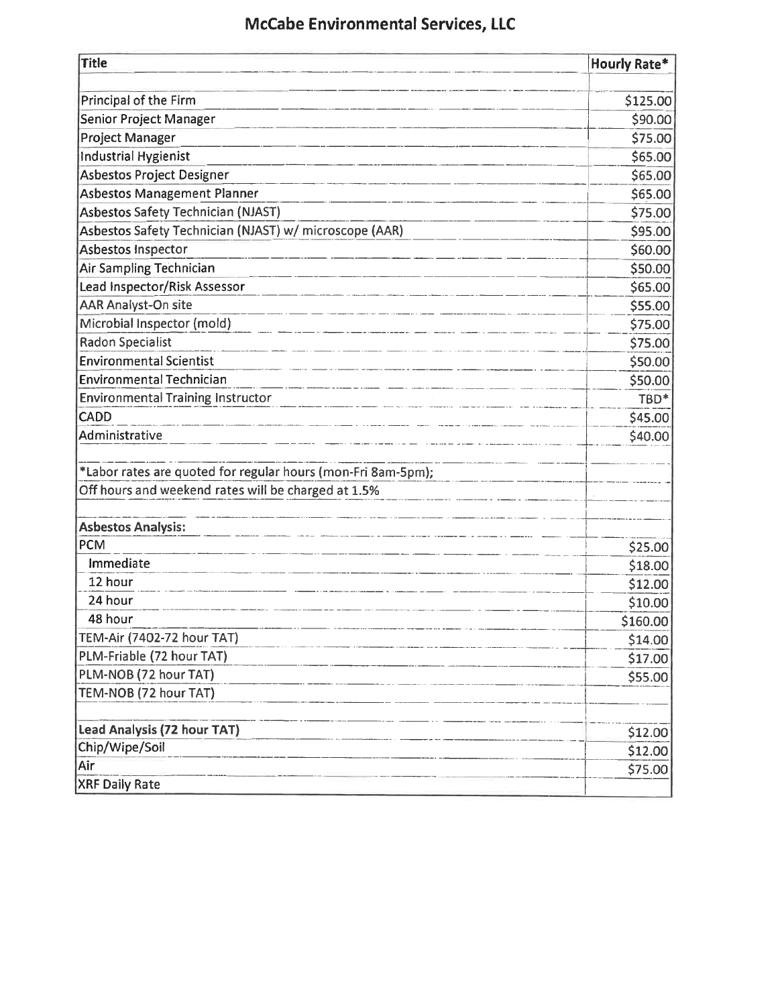# **McCabe Environmental Services, LLC**

| <b>Title</b>                                                 | <b>Hourly Rate*</b> |
|--------------------------------------------------------------|---------------------|
|                                                              |                     |
| Principal of the Firm                                        | \$125.00            |
| <b>Senior Project Manager</b>                                | \$90.00             |
| <b>Project Manager</b>                                       | \$75.00             |
| <b>Industrial Hygienist</b>                                  | \$65.00             |
| Asbestos Project Designer                                    | \$65.00             |
| <b>Asbestos Management Planner</b>                           | \$65.00             |
| <b>Asbestos Safety Technician (NJAST)</b>                    | \$75.00             |
| Asbestos Safety Technician (NJAST) w/ microscope (AAR)       | \$95.00             |
| <b>Asbestos Inspector</b>                                    | \$60.00             |
| Air Sampling Technician                                      | \$50.00             |
| Lead Inspector/Risk Assessor                                 | \$65.00             |
| <b>AAR Analyst-On site</b>                                   | \$55.00             |
| Microbial Inspector (mold)                                   | \$75.00             |
| <b>Radon Specialist</b>                                      | \$75.00             |
| <b>Environmental Scientist</b>                               | \$50.00             |
| <b>Environmental Technician</b>                              | \$50.00             |
| <b>Environmental Training Instructor</b>                     | TBD*                |
| CADD                                                         | \$45.00             |
| <b>Administrative</b>                                        | \$40.00             |
|                                                              |                     |
| *Labor rates are quoted for regular hours (mon-Fri 8am-5pm); |                     |
| Off hours and weekend rates will be charged at 1.5%          |                     |
|                                                              |                     |
| <b>Asbestos Analysis:</b>                                    |                     |
| <b>PCM</b>                                                   | \$25.00             |
| Immediate                                                    | \$18.00             |
| 12 hour                                                      | \$12.00             |
| 24 hour                                                      | \$10.00             |
| 48 hour                                                      | \$160.00            |
| TEM-Air (7402-72 hour TAT)                                   | \$14.00             |
| PLM-Friable (72 hour TAT)                                    | \$17.00             |
| PLM-NOB (72 hour TAT)                                        | \$55.00             |
| TEM-NOB (72 hour TAT)                                        |                     |
| Lead Analysis (72 hour TAT)                                  | \$12.00             |
| Chip/Wipe/Soil                                               | \$12.00             |
| Air                                                          | \$75.00             |
| <b>XRF Daily Rate</b>                                        |                     |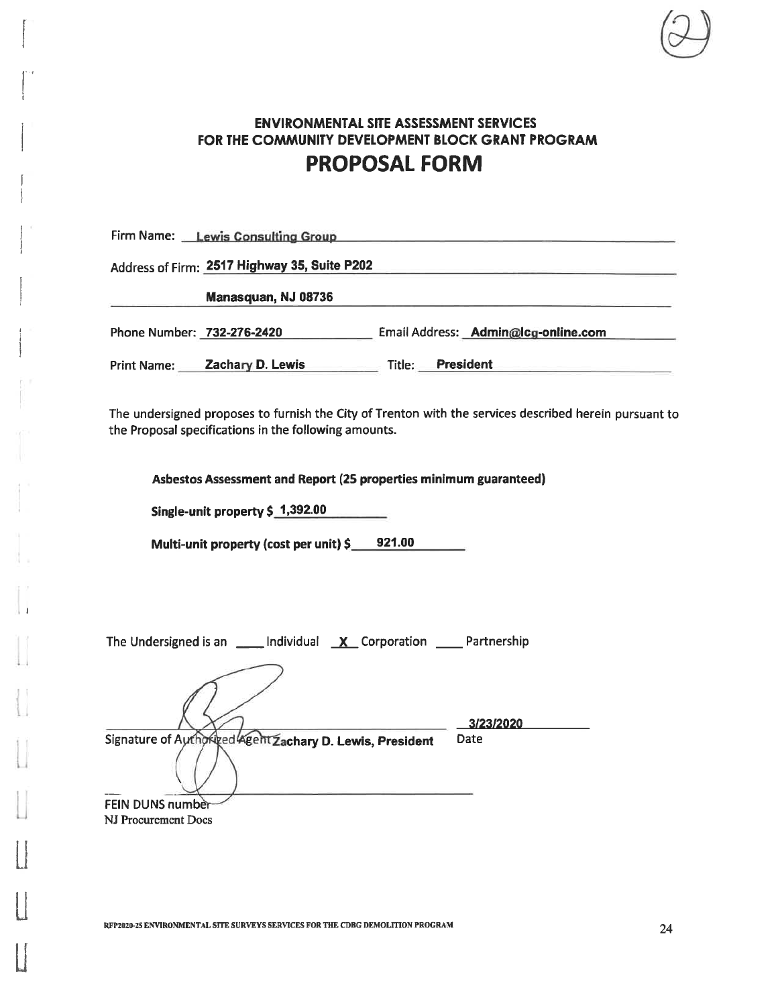Firm Name: Lewis Consulting Group

Address of Firm: 2517 Highway 35, Suite P202

Manasquan, NJ 08736

Phone Number: 732-276-2420 Email Address: Admin@lcg-online.com

Print Name: Zachary D. Lewis Title: President

The undersigned proposes to furnish the City of Trenton with the services described herein pursuant to the Proposal specifications in the following amounts.

Asbestos Assessment and Report (25 properties minimum guaranteed)

Single-unit property \$ 1,392.00

Multi-unit property (cost per unit) \$\_\_\_\_921.00

| ____ Individual __ <b>X</b> _ Corporation _____ Partnership<br>The Undersigned is an |           |
|--------------------------------------------------------------------------------------|-----------|
|                                                                                      | 3/23/2020 |
| Signature of Authorized Agent Zachary D. Lewis, President                            | Date      |
|                                                                                      |           |
|                                                                                      |           |
| FEIN DUNS number                                                                     |           |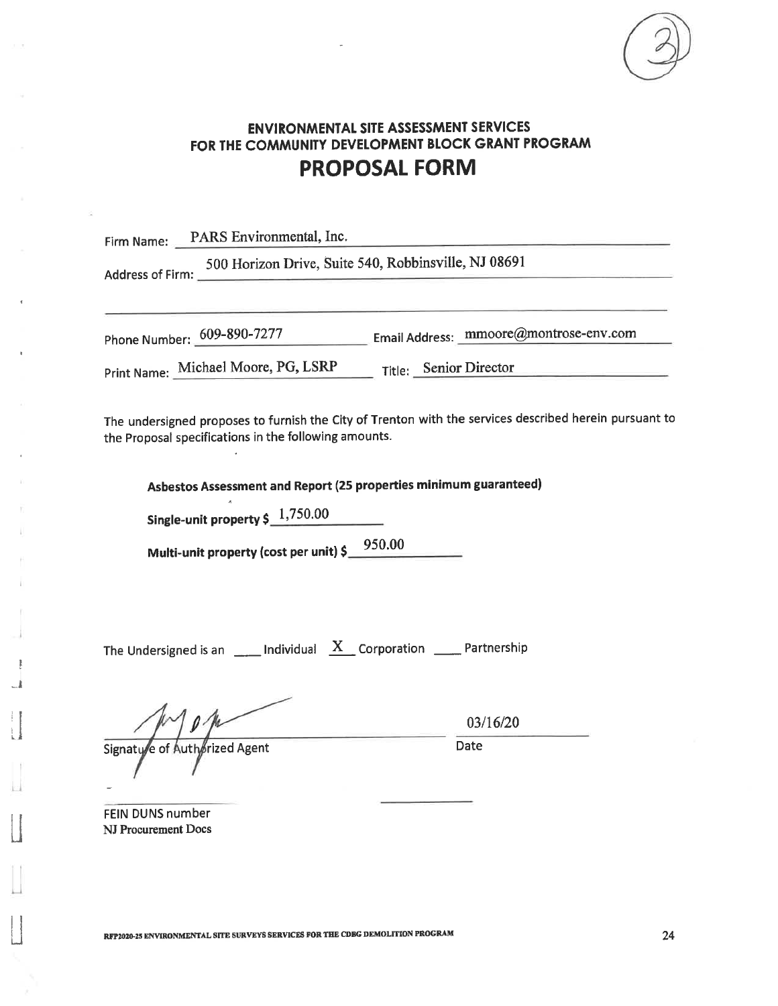

Firm Name: PARS Environmental, Inc. 500 Horizon Drive, Suite 540, Robbinsville, NJ 08691 Address of Firm: Phone Number: 609-890-7277 Email Address: mmoore@montrose-env.com Print Name: Michael Moore, PG, LSRP Title: Senior Director

The undersigned proposes to furnish the City of Trenton with the services described herein pursuant to the Proposal specifications in the following amounts.

Asbestos Assessment and Report (25 properties minimum guaranteed)

Single-unit property  $\frac{1,750.00}{2}$ 

Multi-unit property (cost per unit) \$<br>1950.00

The Undersigned is an \_\_\_\_\_ Individual  $\frac{X}{X}$  Corporation \_\_\_\_ Partnership

Signaty'e of Authorized Agent

03/16/20

Date

**FEIN DUNS number** NJ Procurement Docs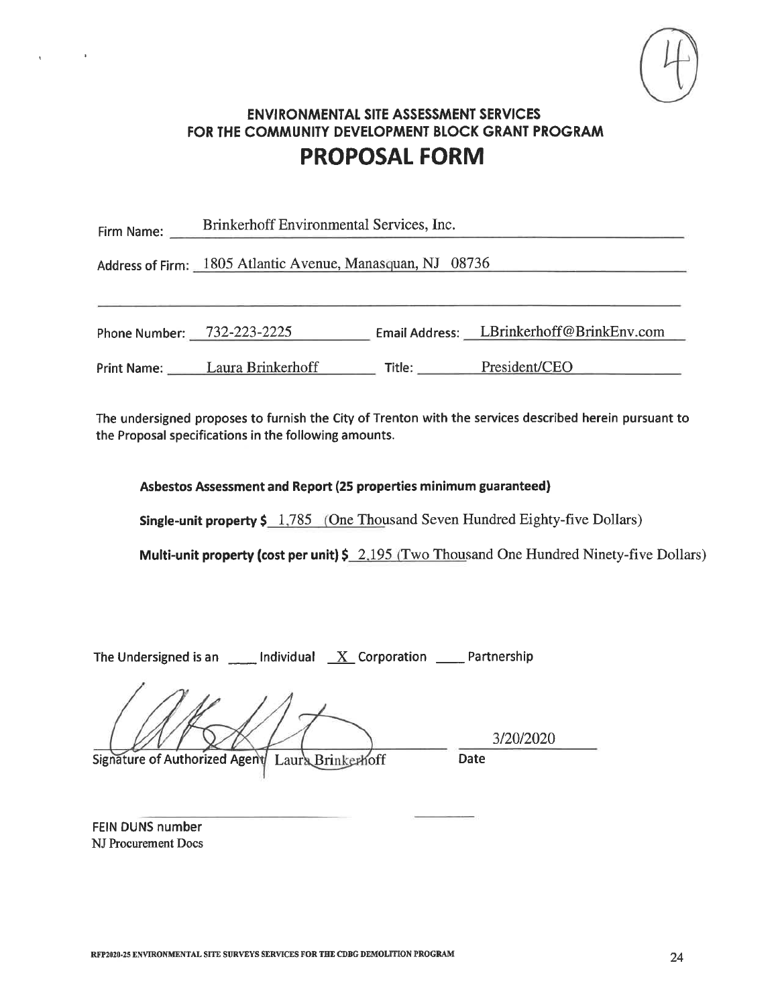

| Firm Name: | Brinkerhoff Environmental Services, Inc.                   |        |                                          |  |
|------------|------------------------------------------------------------|--------|------------------------------------------|--|
|            | Address of Firm: 1805 Atlantic Avenue, Manasquan, NJ 08736 |        |                                          |  |
|            | Phone Number: 732-223-2225                                 |        | Email Address: LBrinkerhoff@BrinkEnv.com |  |
|            | Print Name: Laura Brinkerhoff                              | Title: | President/CEO                            |  |

The undersigned proposes to furnish the City of Trenton with the services described herein pursuant to the Proposal specifications in the following amounts.

Asbestos Assessment and Report (25 properties minimum guaranteed)

**Single-unit property \$** 1,785 (One Thousand Seven Hundred Eighty-five Dollars)

Multi-unit property (cost per unit)  $\frac{5}{2.195}$  (Two Thousand One Hundred Ninety-five Dollars)

The Undersigned is an  $\quad$  Individual  $\quad X$  Corporation  $\quad$  Partnership

Signature of Authorized Agent Laura Brinkerhoff

3/20/2020 Date

FEIN DUNS number NJ Procurement Docs